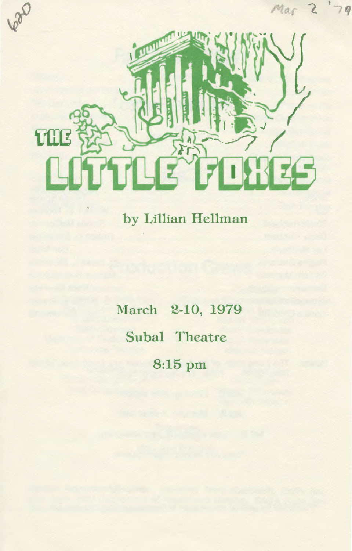

by Lillian Hellman

March 2-10, 1979 Subal Theatre 8:15 pm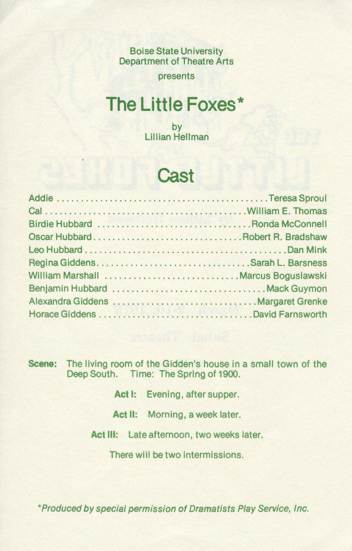Boise State University Department of Theatre Arts

presents

## **The Little Foxes\***

by Lillian Hellman

#### **Cast**

| William Marshall  Marcus Boguslawski |  |
|--------------------------------------|--|
|                                      |  |
|                                      |  |
|                                      |  |

**Scene:** The living room of the Gidden's house in a small town of the Deep South. Time: The Spring of 1900.

Act I: Evening, after supper.

Act II: Morning, a week later.

Act III: Late afternoon, two weeks later.

There will be two intermissions.

\*Produced by special permission of Dramatists Play Service, Inc.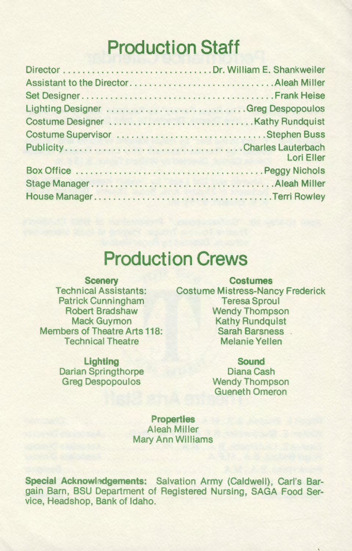# **Production Staff**

| Lighting Designer  Greg Despopoulos |                                                         |
|-------------------------------------|---------------------------------------------------------|
|                                     |                                                         |
|                                     |                                                         |
|                                     | <b>Lori Eller</b><br>THE R. P. LEWIS CO., LANSING MICH. |
|                                     |                                                         |
|                                     |                                                         |
|                                     |                                                         |

### **Production Crews**

**Scenery**  Technical Assistants: Patrick Cunningham Robert Bradshaw Mack Guymon Members of Theatre Arts 118: Technical Theatre

> **Lighting**  Darian Springthorpe Greg Despopoulos

**Costumes**  Costume Mistress-Nancy Frederick Teresa Sproul Wendy Thompson Kathy Rundquist Sarah Barsness. Melanie Yellen

> **Sound**  Diana Cash Wendy Thompson Gueneth Omeron

**Properties**  Aleah Miller Mary Ann Williams

Special Acknowledgements: Salvation Army (Caldwell), Carl's Bargain Barn, BSU Department of Registered Nursing, SAGA Food Service, Headshop, Bank of Idaho.